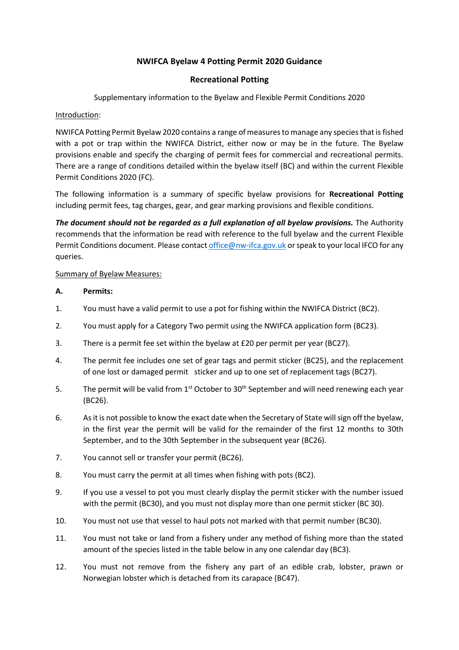## **NWIFCA Byelaw 4 Potting Permit 2020 Guidance**

### **Recreational Potting**

Supplementary information to the Byelaw and Flexible Permit Conditions 2020

#### Introduction:

NWIFCA Potting Permit Byelaw 2020 contains a range of measures to manage any species that is fished with a pot or trap within the NWIFCA District, either now or may be in the future. The Byelaw provisions enable and specify the charging of permit fees for commercial and recreational permits. There are a range of conditions detailed within the byelaw itself (BC) and within the current Flexible Permit Conditions 2020 (FC).

The following information is a summary of specific byelaw provisions for **Recreational Potting** including permit fees, tag charges, gear, and gear marking provisions and flexible conditions.

*The document should not be regarded as a full explanation of all byelaw provisions.* The Authority recommends that the information be read with reference to the full byelaw and the current Flexible Permit Conditions document. Please contact [office@nw-ifca.gov.uk](mailto:office@nw-ifca.gov.uk) or speak to your local IFCO for any queries.

### Summary of Byelaw Measures:

### **A. Permits:**

- 1. You must have a valid permit to use a pot for fishing within the NWIFCA District (BC2).
- 2. You must apply for a Category Two permit using the NWIFCA application form (BC23).
- 3. There is a permit fee set within the byelaw at £20 per permit per year (BC27).
- 4. The permit fee includes one set of gear tags and permit sticker (BC25), and the replacement of one lost or damaged permit sticker and up to one set of replacement tags (BC27).
- 5. The permit will be valid from  $1^{st}$  October to  $30^{th}$  September and will need renewing each year (BC26).
- 6. As it is not possible to know the exact date when the Secretary of State will sign off the byelaw, in the first year the permit will be valid for the remainder of the first 12 months to 30th September, and to the 30th September in the subsequent year (BC26).
- 7. You cannot sell or transfer your permit (BC26).
- 8. You must carry the permit at all times when fishing with pots (BC2).
- 9. If you use a vessel to pot you must clearly display the permit sticker with the number issued with the permit (BC30), and you must not display more than one permit sticker (BC 30).
- 10. You must not use that vessel to haul pots not marked with that permit number (BC30).
- 11. You must not take or land from a fishery under any method of fishing more than the stated amount of the species listed in the table below in any one calendar day (BC3).
- 12. You must not remove from the fishery any part of an edible crab, lobster, prawn or Norwegian lobster which is detached from its carapace (BC47).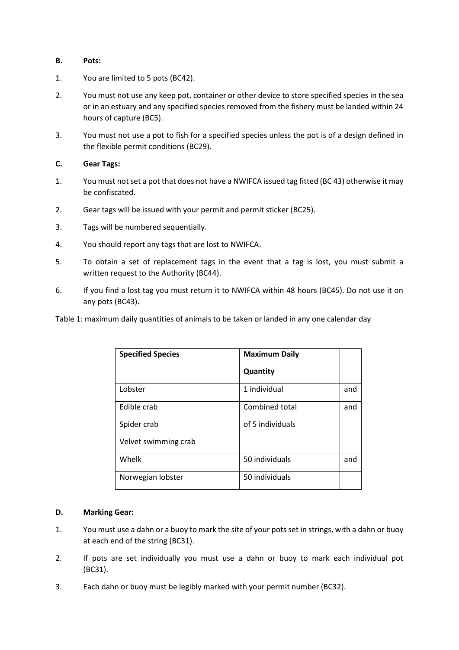#### **B. Pots:**

- 1. You are limited to 5 pots (BC42).
- 2. You must not use any keep pot, container or other device to store specified species in the sea or in an estuary and any specified species removed from the fishery must be landed within 24 hours of capture (BC5).
- 3. You must not use a pot to fish for a specified species unless the pot is of a design defined in the flexible permit conditions (BC29).

### **C. Gear Tags:**

- 1. You must not set a pot that does not have a NWIFCA issued tag fitted (BC 43) otherwise it may be confiscated.
- 2. Gear tags will be issued with your permit and permit sticker (BC25).
- 3. Tags will be numbered sequentially.
- 4. You should report any tags that are lost to NWIFCA.
- 5. To obtain a set of replacement tags in the event that a tag is lost, you must submit a written request to the Authority (BC44).
- 6. If you find a lost tag you must return it to NWIFCA within 48 hours (BC45). Do not use it on any pots (BC43).

Table 1: maximum daily quantities of animals to be taken or landed in any one calendar day

| <b>Specified Species</b> | <b>Maximum Daily</b> |     |
|--------------------------|----------------------|-----|
|                          | Quantity             |     |
| Lobster                  | 1 individual         | and |
| Edible crab              | Combined total       | and |
| Spider crab              | of 5 individuals     |     |
| Velvet swimming crab     |                      |     |
| Whelk                    | 50 individuals       | and |
| Norwegian lobster        | 50 individuals       |     |

#### **D. Marking Gear:**

- 1. You must use a dahn or a buoy to mark the site of your pots set in strings, with a dahn or buoy at each end of the string (BC31).
- 2. If pots are set individually you must use a dahn or buoy to mark each individual pot (BC31).
- 3. Each dahn or buoy must be legibly marked with your permit number (BC32).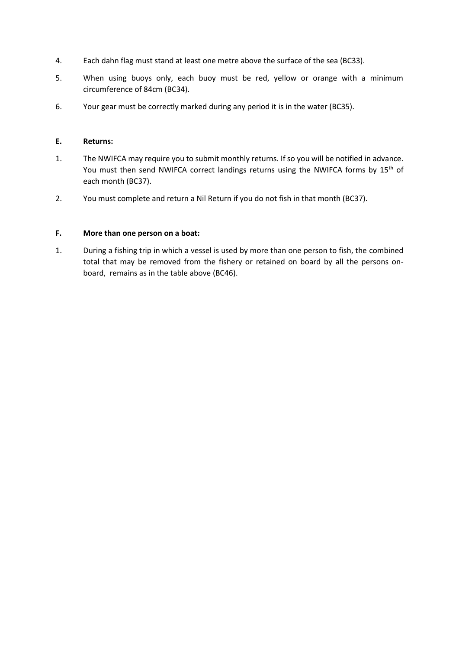- 4. Each dahn flag must stand at least one metre above the surface of the sea (BC33).
- 5. When using buoys only, each buoy must be red, yellow or orange with a minimum circumference of 84cm (BC34).
- 6. Your gear must be correctly marked during any period it is in the water (BC35).

#### **E. Returns:**

- 1. The NWIFCA may require you to submit monthly returns. If so you will be notified in advance. You must then send NWIFCA correct landings returns using the NWIFCA forms by 15<sup>th</sup> of each month (BC37).
- 2. You must complete and return a Nil Return if you do not fish in that month (BC37).

## **F. More than one person on a boat:**

1. During a fishing trip in which a vessel is used by more than one person to fish, the combined total that may be removed from the fishery or retained on board by all the persons onboard, remains as in the table above (BC46).